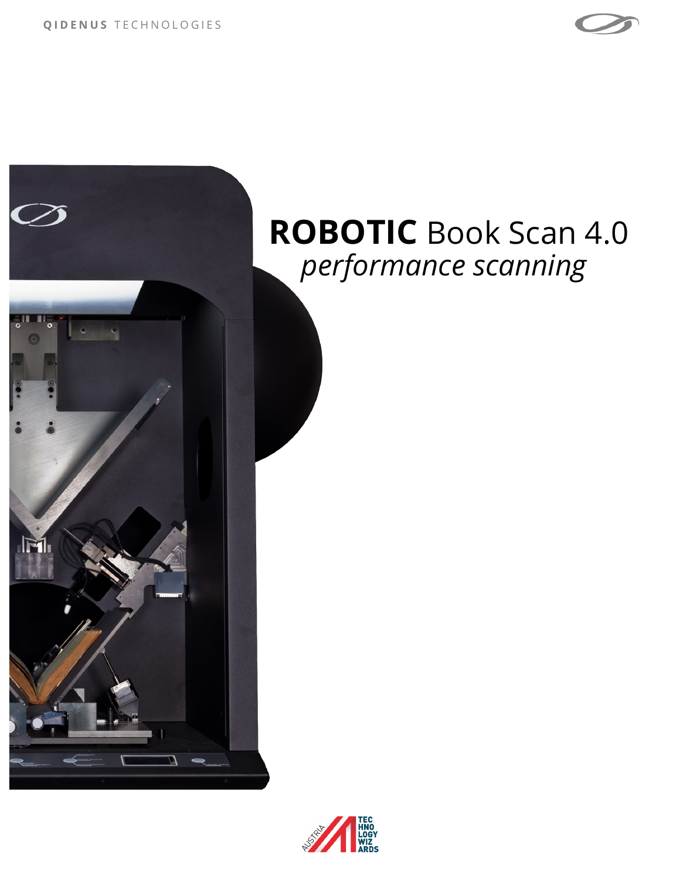

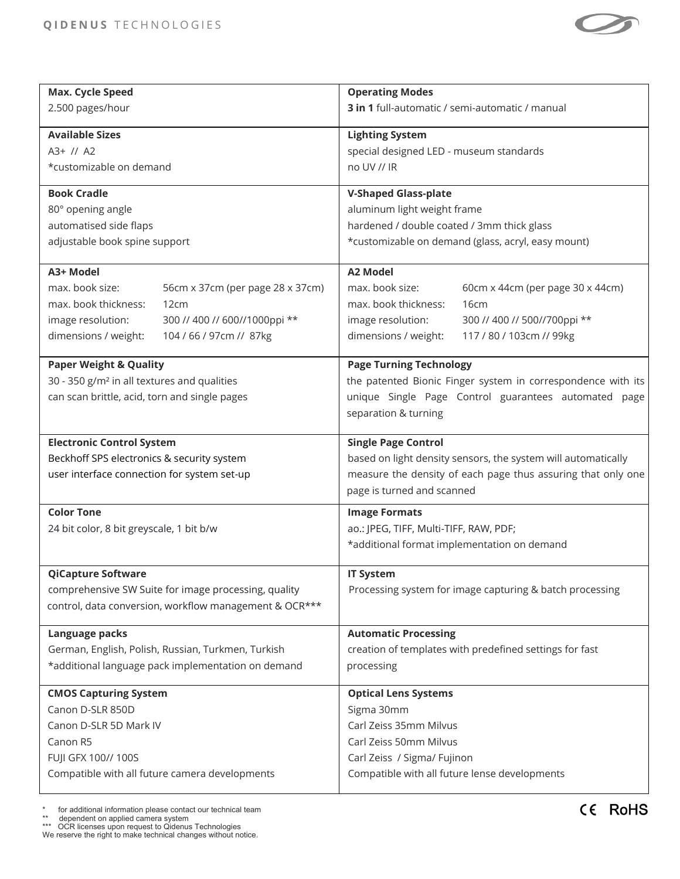

| Max. Cycle Speed                                        | <b>Operating Modes</b>                                        |
|---------------------------------------------------------|---------------------------------------------------------------|
| 2.500 pages/hour                                        | 3 in 1 full-automatic / semi-automatic / manual               |
| <b>Available Sizes</b>                                  |                                                               |
| A3+ // A2                                               | <b>Lighting System</b>                                        |
|                                                         | special designed LED - museum standards                       |
| *customizable on demand                                 | no UV // IR                                                   |
| <b>Book Cradle</b>                                      | <b>V-Shaped Glass-plate</b>                                   |
| 80° opening angle                                       | aluminum light weight frame                                   |
| automatised side flaps                                  | hardened / double coated / 3mm thick glass                    |
| adjustable book spine support                           | *customizable on demand (glass, acryl, easy mount)            |
|                                                         |                                                               |
| A3+ Model                                               | <b>A2 Model</b>                                               |
| max. book size:<br>56cm x 37cm (per page 28 x 37cm)     | max. book size:<br>60cm x 44cm (per page 30 x 44cm)           |
| max. book thickness:<br>12cm                            | max. book thickness:<br>16cm                                  |
| 300 // 400 // 600//1000ppi **<br>image resolution:      | image resolution:<br>300 // 400 // 500//700ppi **             |
| dimensions / weight:<br>104 / 66 / 97cm // 87kg         | dimensions / weight:<br>117 / 80 / 103cm // 99kg              |
|                                                         |                                                               |
| <b>Paper Weight &amp; Quality</b>                       | <b>Page Turning Technology</b>                                |
| 30 - 350 g/m <sup>2</sup> in all textures and qualities | the patented Bionic Finger system in correspondence with its  |
| can scan brittle, acid, torn and single pages           | unique Single Page Control guarantees automated page          |
|                                                         | separation & turning                                          |
|                                                         |                                                               |
|                                                         |                                                               |
| <b>Electronic Control System</b>                        | <b>Single Page Control</b>                                    |
| Beckhoff SPS electronics & security system              | based on light density sensors, the system will automatically |
| user interface connection for system set-up             | measure the density of each page thus assuring that only one  |
|                                                         | page is turned and scanned                                    |
| <b>Color Tone</b>                                       | <b>Image Formats</b>                                          |
| 24 bit color, 8 bit greyscale, 1 bit b/w                | ao.: JPEG, TIFF, Multi-TIFF, RAW, PDF;                        |
|                                                         | *additional format implementation on demand                   |
|                                                         |                                                               |
| <b>QiCapture Software</b>                               | <b>IT System</b>                                              |
| comprehensive SW Suite for image processing, quality    | Processing system for image capturing & batch processing      |
| control, data conversion, workflow management & OCR***  |                                                               |
|                                                         |                                                               |
| Language packs                                          | <b>Automatic Processing</b>                                   |
| German, English, Polish, Russian, Turkmen, Turkish      | creation of templates with predefined settings for fast       |
| *additional language pack implementation on demand      | processing                                                    |
| <b>CMOS Capturing System</b>                            | <b>Optical Lens Systems</b>                                   |
| Canon D-SLR 850D                                        | Sigma 30mm                                                    |
| Canon D-SLR 5D Mark IV                                  | Carl Zeiss 35mm Milvus                                        |
| Canon R5                                                | Carl Zeiss 50mm Milvus                                        |
| FUJI GFX 100// 100S                                     | Carl Zeiss / Sigma/ Fujinon                                   |
| Compatible with all future camera developments          | Compatible with all future lense developments                 |

\* for additional information please contact our technical team \*\* dependent on applied camera system \*\*\* OCR licenses upon request to Qidenus Technologies We reserve the right to make technical changes without notice.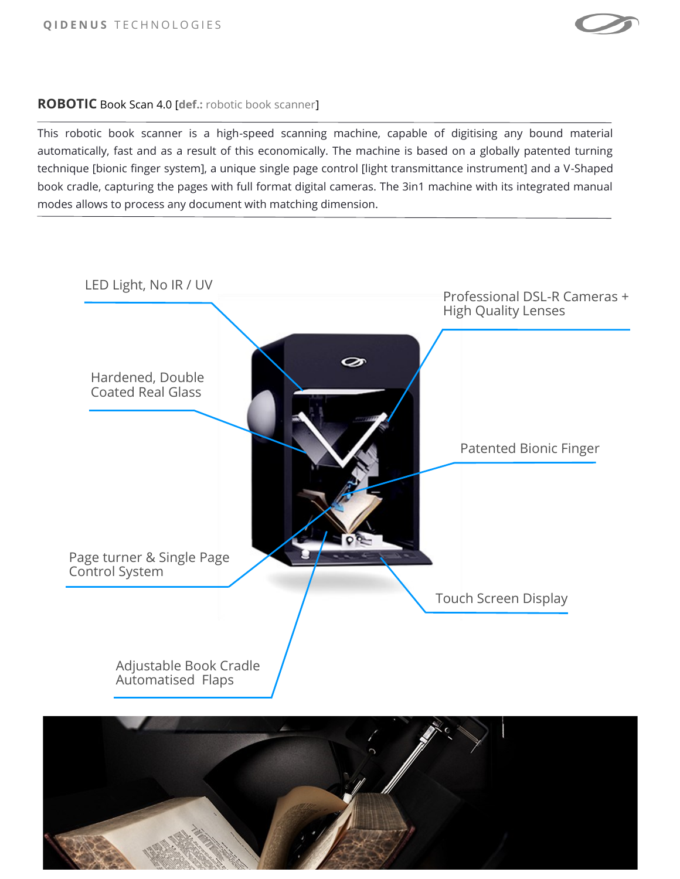

## **ROBOTIC** Book Scan 4.0 [**def.:** robotic book scanner]

This robotic book scanner is a high-speed scanning machine, capable of digitising any bound material automatically, fast and as a result of this economically. The machine is based on a globally patented turning technique [bionic finger system], a unique single page control [light transmittance instrument] and a V-Shaped book cradle, capturing the pages with full format digital cameras. The 3in1 machine with its integrated manual modes allows to process any document with matching dimension.